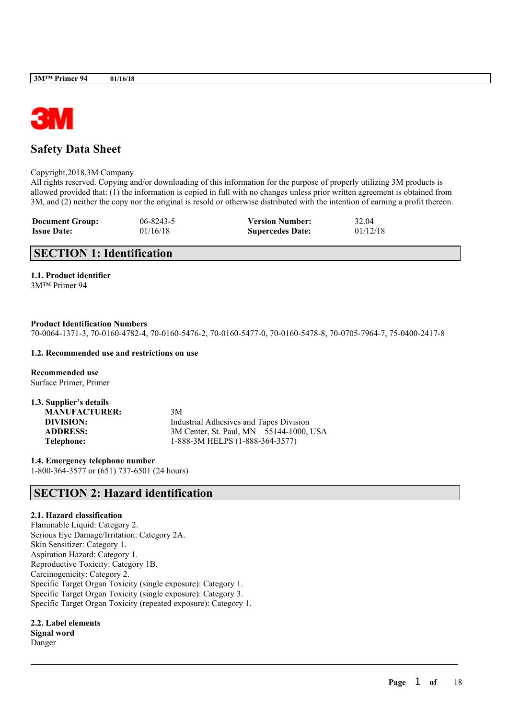

## **Safety Data Sheet**

Copyright,2018,3M Company.

All rights reserved. Copying and/or downloading of this information for the purpose of properly utilizing 3M products is allowed provided that: (1) the information is copied in full with no changes unless prior written agreement is obtained from 3M, and (2) neither the copy nor the original is resold or otherwise distributed with the intention of earning a profit thereon.

| <b>Document Group:</b> | $06 - 8243 - 5$ | <b>Version Number:</b>  | 32.04    |
|------------------------|-----------------|-------------------------|----------|
| <b>Issue Date:</b>     | 01/16/18        | <b>Supercedes Date:</b> | 01/12/18 |

## **SECTION 1: Identification**

**1.1. Product identifier**

3M™ Primer 94

#### **Product Identification Numbers**

70-0064-1371-3, 70-0160-4782-4, 70-0160-5476-2, 70-0160-5477-0, 70-0160-5478-8, 70-0705-7964-7, 75-0400-2417-8

 $\mathcal{L}_\mathcal{L} = \mathcal{L}_\mathcal{L} = \mathcal{L}_\mathcal{L} = \mathcal{L}_\mathcal{L} = \mathcal{L}_\mathcal{L} = \mathcal{L}_\mathcal{L} = \mathcal{L}_\mathcal{L} = \mathcal{L}_\mathcal{L} = \mathcal{L}_\mathcal{L} = \mathcal{L}_\mathcal{L} = \mathcal{L}_\mathcal{L} = \mathcal{L}_\mathcal{L} = \mathcal{L}_\mathcal{L} = \mathcal{L}_\mathcal{L} = \mathcal{L}_\mathcal{L} = \mathcal{L}_\mathcal{L} = \mathcal{L}_\mathcal{L}$ 

#### **1.2. Recommended use and restrictions on use**

**Recommended use** Surface Primer, Primer

| 1.3. Supplier's details |                                         |
|-------------------------|-----------------------------------------|
| <b>MANUFACTURER:</b>    | 3M                                      |
| DIVISION:               | Industrial Adhesives and Tapes Division |
| <b>ADDRESS:</b>         | 3M Center, St. Paul, MN 55144-1000, USA |
| Telephone:              | 1-888-3M HELPS (1-888-364-3577)         |

**1.4. Emergency telephone number** 1-800-364-3577 or (651) 737-6501 (24 hours)

## **SECTION 2: Hazard identification**

### **2.1. Hazard classification**

Flammable Liquid: Category 2. Serious Eye Damage/Irritation: Category 2A. Skin Sensitizer: Category 1. Aspiration Hazard: Category 1. Reproductive Toxicity: Category 1B. Carcinogenicity: Category 2. Specific Target Organ Toxicity (single exposure): Category 1. Specific Target Organ Toxicity (single exposure): Category 3. Specific Target Organ Toxicity (repeated exposure): Category 1.

**2.2. Label elements Signal word** Danger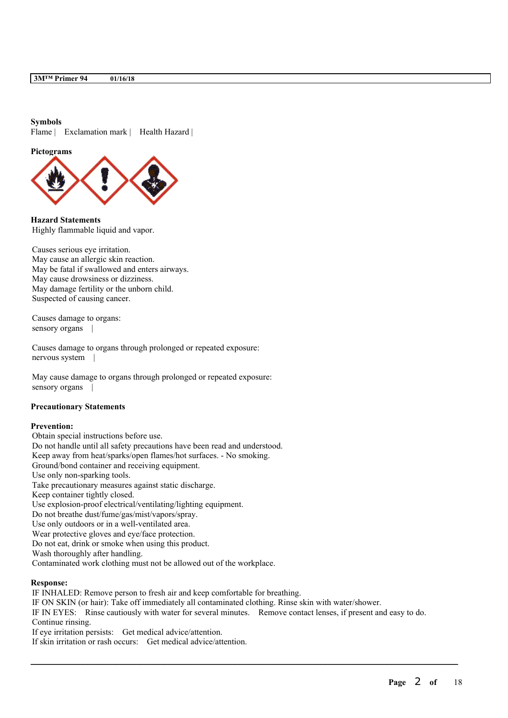#### **Symbols**

Flame | Exclamation mark | Health Hazard |

**Pictograms**



**Hazard Statements** Highly flammable liquid and vapor.

Causes serious eye irritation. May cause an allergic skin reaction. May be fatal if swallowed and enters airways. May cause drowsiness or dizziness. May damage fertility or the unborn child. Suspected of causing cancer.

Causes damage to organs: sensory organs |

Causes damage to organs through prolonged or repeated exposure: nervous system |

May cause damage to organs through prolonged or repeated exposure: sensory organs |

#### **Precautionary Statements**

#### **Prevention:**

Obtain special instructions before use. Do not handle until all safety precautions have been read and understood. Keep away from heat/sparks/open flames/hot surfaces. - No smoking. Ground/bond container and receiving equipment. Use only non-sparking tools. Take precautionary measures against static discharge. Keep container tightly closed. Use explosion-proof electrical/ventilating/lighting equipment. Do not breathe dust/fume/gas/mist/vapors/spray. Use only outdoors or in a well-ventilated area. Wear protective gloves and eye/face protection. Do not eat, drink or smoke when using this product. Wash thoroughly after handling. Contaminated work clothing must not be allowed out of the workplace.

#### **Response:**

IF INHALED: Remove person to fresh air and keep comfortable for breathing. IF ON SKIN (or hair): Take off immediately all contaminated clothing. Rinse skin with water/shower. IF IN EYES: Rinse cautiously with water for several minutes. Remove contact lenses, if present and easy to do. Continue rinsing. If eye irritation persists: Get medical advice/attention. If skin irritation or rash occurs: Get medical advice/attention.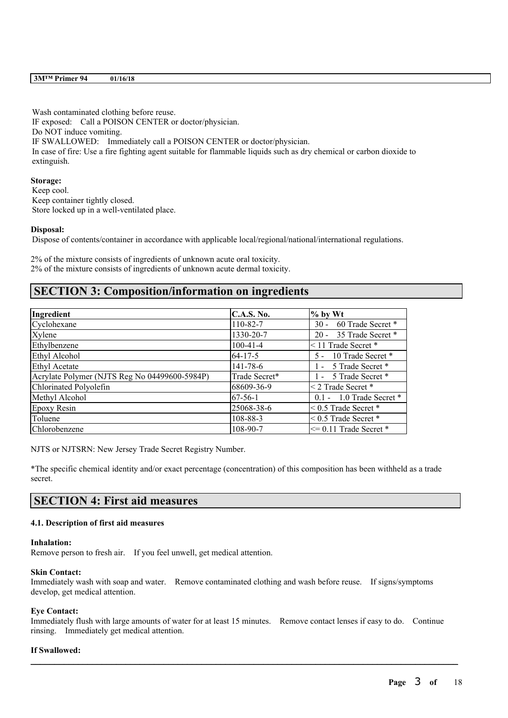| 3M <sup>™</sup> Primer 94 | 01/16/18 |
|---------------------------|----------|
|---------------------------|----------|

Wash contaminated clothing before reuse. IF exposed: Call a POISON CENTER or doctor/physician. Do NOT induce vomiting. IF SWALLOWED: Immediately call a POISON CENTER or doctor/physician. In case of fire: Use a fire fighting agent suitable for flammable liquids such as dry chemical or carbon dioxide to extinguish.

**Storage:** Keep cool. Keep container tightly closed. Store locked up in a well-ventilated place.

#### **Disposal:**

Dispose of contents/container in accordance with applicable local/regional/national/international regulations.

2% of the mixture consists of ingredients of unknown acute oral toxicity. 2% of the mixture consists of ingredients of unknown acute dermal toxicity.

## **SECTION 3: Composition/information on ingredients**

| Ingredient                                    | <b>C.A.S. No.</b> | $%$ by Wt                   |
|-----------------------------------------------|-------------------|-----------------------------|
| Cyclohexane                                   | 110-82-7          | 60 Trade Secret *<br>$30 -$ |
| Xylene                                        | 1330-20-7         | 20 - 35 Trade Secret *      |
| Ethylbenzene                                  | $100-41-4$        | <11 Trade Secret *          |
| Ethyl Alcohol                                 | $64 - 17 - 5$     | 5 - 10 Trade Secret *       |
| <b>Ethyl Acetate</b>                          | $141 - 78 - 6$    | 1 - 5 Trade Secret *        |
| Acrylate Polymer (NJTS Reg No 04499600-5984P) | Trade Secret*     | 1 - 5 Trade Secret *        |
| Chlorinated Polyolefin                        | 68609-36-9        | < 2 Trade Secret *          |
| Methyl Alcohol                                | $67-56-1$         | 0.1 - 1.0 Trade Secret *    |
| Epoxy Resin                                   | 25068-38-6        | $\leq$ 0.5 Trade Secret $*$ |
| Toluene                                       | 108-88-3          | $< 0.5$ Trade Secret $*$    |
| Chlorobenzene                                 | 108-90-7          | $\leq$ 0.11 Trade Secret *  |

NJTS or NJTSRN: New Jersey Trade Secret Registry Number.

\*The specific chemical identity and/or exact percentage (concentration) of this composition has been withheld as a trade secret.

## **SECTION 4: First aid measures**

#### **4.1. Description of first aid measures**

#### **Inhalation:**

Remove person to fresh air. If you feel unwell, get medical attention.

#### **Skin Contact:**

Immediately wash with soap and water. Remove contaminated clothing and wash before reuse. If signs/symptoms develop, get medical attention.

#### **Eye Contact:**

Immediately flush with large amounts of water for at least 15 minutes. Remove contact lenses if easy to do. Continue rinsing. Immediately get medical attention.

 $\mathcal{L}_\mathcal{L} = \mathcal{L}_\mathcal{L} = \mathcal{L}_\mathcal{L} = \mathcal{L}_\mathcal{L} = \mathcal{L}_\mathcal{L} = \mathcal{L}_\mathcal{L} = \mathcal{L}_\mathcal{L} = \mathcal{L}_\mathcal{L} = \mathcal{L}_\mathcal{L} = \mathcal{L}_\mathcal{L} = \mathcal{L}_\mathcal{L} = \mathcal{L}_\mathcal{L} = \mathcal{L}_\mathcal{L} = \mathcal{L}_\mathcal{L} = \mathcal{L}_\mathcal{L} = \mathcal{L}_\mathcal{L} = \mathcal{L}_\mathcal{L}$ 

#### **If Swallowed:**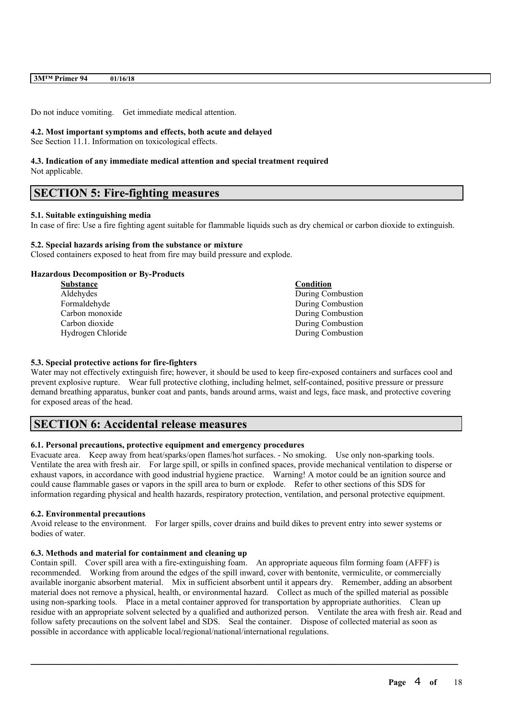| 3M <sup>™</sup> Primer 94 | 01/16/18 |
|---------------------------|----------|
|---------------------------|----------|

Do not induce vomiting. Get immediate medical attention.

#### **4.2. Most important symptoms and effects, both acute and delayed**

See Section 11.1. Information on toxicological effects.

# **4.3. Indication of any immediate medical attention and special treatment required**

Not applicable.

## **SECTION 5: Fire-fighting measures**

#### **5.1. Suitable extinguishing media**

In case of fire: Use a fire fighting agent suitable for flammable liquids such as dry chemical or carbon dioxide to extinguish.

#### **5.2. Special hazards arising from the substance or mixture**

Closed containers exposed to heat from fire may build pressure and explode.

#### **Hazardous Decomposition or By-Products**

| Condition         |
|-------------------|
| During Combustion |
| During Combustion |
| During Combustion |
| During Combustion |
| During Combustion |
|                   |

#### **5.3. Special protective actions for fire-fighters**

Water may not effectively extinguish fire; however, it should be used to keep fire-exposed containers and surfaces cool and prevent explosive rupture. Wear full protective clothing, including helmet, self-contained, positive pressure or pressure demand breathing apparatus, bunker coat and pants, bands around arms, waist and legs, face mask, and protective covering for exposed areas of the head.

## **SECTION 6: Accidental release measures**

#### **6.1. Personal precautions, protective equipment and emergency procedures**

Evacuate area. Keep away from heat/sparks/open flames/hot surfaces. - No smoking. Use only non-sparking tools. Ventilate the area with fresh air. For large spill, or spills in confined spaces, provide mechanical ventilation to disperse or exhaust vapors, in accordance with good industrial hygiene practice. Warning! A motor could be an ignition source and could cause flammable gases or vapors in the spill area to burn or explode. Refer to other sections of this SDS for information regarding physical and health hazards, respiratory protection, ventilation, and personal protective equipment.

#### **6.2. Environmental precautions**

Avoid release to the environment. For larger spills, cover drains and build dikes to prevent entry into sewer systems or bodies of water.

#### **6.3. Methods and material for containment and cleaning up**

Contain spill. Cover spill area with a fire-extinguishing foam. An appropriate aqueous film forming foam (AFFF) is recommended. Working from around the edges of the spill inward, cover with bentonite, vermiculite, or commercially available inorganic absorbent material. Mix in sufficient absorbent until it appears dry. Remember, adding an absorbent material does not remove a physical, health, or environmental hazard. Collect as much of the spilled material as possible using non-sparking tools. Place in a metal container approved for transportation by appropriate authorities. Clean up residue with an appropriate solvent selected by a qualified and authorized person. Ventilate the area with fresh air. Read and follow safety precautions on the solvent label and SDS. Seal the container. Dispose of collected material as soon as possible in accordance with applicable local/regional/national/international regulations.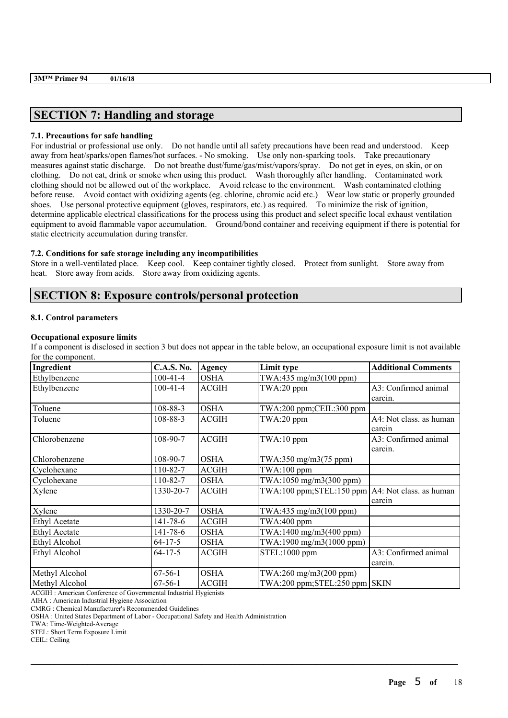## **SECTION 7: Handling and storage**

#### **7.1. Precautions for safe handling**

For industrial or professional use only. Do not handle until all safety precautions have been read and understood. Keep away from heat/sparks/open flames/hot surfaces. - No smoking. Use only non-sparking tools. Take precautionary measures against static discharge. Do not breathe dust/fume/gas/mist/vapors/spray. Do not get in eyes, on skin, or on clothing. Do not eat, drink or smoke when using this product. Wash thoroughly after handling. Contaminated work clothing should not be allowed out of the workplace. Avoid release to the environment. Wash contaminated clothing before reuse. Avoid contact with oxidizing agents (eg. chlorine, chromic acid etc.) Wear low static or properly grounded shoes. Use personal protective equipment (gloves, respirators, etc.) as required. To minimize the risk of ignition, determine applicable electrical classifications for the process using this product and select specific local exhaust ventilation equipment to avoid flammable vapor accumulation. Ground/bond container and receiving equipment if there is potential for static electricity accumulation during transfer.

#### **7.2. Conditions for safe storage including any incompatibilities**

Store in a well-ventilated place. Keep cool. Keep container tightly closed. Protect from sunlight. Store away from heat. Store away from acids. Store away from oxidizing agents.

### **SECTION 8: Exposure controls/personal protection**

#### **8.1. Control parameters**

#### **Occupational exposure limits**

If a component is disclosed in section 3 but does not appear in the table below, an occupational exposure limit is not available for the component.

| Ingredient           | <b>C.A.S. No.</b> | Agency       | Limit type                                              | <b>Additional Comments</b> |
|----------------------|-------------------|--------------|---------------------------------------------------------|----------------------------|
| Ethylbenzene         | $100-41-4$        | <b>OSHA</b>  | TWA:435 mg/m3(100 ppm)                                  |                            |
| Ethylbenzene         | $100-41-4$        | <b>ACGIH</b> | $TWA:20$ ppm                                            | A3: Confirmed animal       |
|                      |                   |              |                                                         | carcin.                    |
| Toluene              | 108-88-3          | <b>OSHA</b>  | $TWA:200$ ppm; $CEIL:300$ ppm                           |                            |
| Toluene              | 108-88-3          | <b>ACGIH</b> | $TWA:20$ ppm                                            | A4: Not class. as human    |
|                      |                   |              |                                                         | carcin                     |
| Chlorobenzene        | 108-90-7          | <b>ACGIH</b> | TWA:10 ppm                                              | A3: Confirmed animal       |
|                      |                   |              |                                                         | carcin.                    |
| Chlorobenzene        | 108-90-7          | <b>OSHA</b>  | TWA:350 mg/m3(75 ppm)                                   |                            |
| Cyclohexane          | 110-82-7          | <b>ACGIH</b> | $TWA:100$ ppm                                           |                            |
| Cyclohexane          | 110-82-7          | <b>OSHA</b>  | TWA:1050 mg/m3(300 ppm)                                 |                            |
| Xylene               | 1330-20-7         | <b>ACGIH</b> | $TWA:100$ ppm; $STEL:150$ ppm $AA:$ Not class. as human |                            |
|                      |                   |              |                                                         | carcin                     |
| Xylene               | 1330-20-7         | <b>OSHA</b>  | TWA:435 mg/m3(100 ppm)                                  |                            |
| <b>Ethyl Acetate</b> | 141-78-6          | <b>ACGIH</b> | TWA:400 ppm                                             |                            |
| <b>Ethyl Acetate</b> | 141-78-6          | <b>OSHA</b>  | $TWA:1400$ mg/m $3(400$ ppm)                            |                            |
| Ethyl Alcohol        | $64 - 17 - 5$     | <b>OSHA</b>  | TWA:1900 mg/m3(1000 ppm)                                |                            |
| Ethyl Alcohol        | $64 - 17 - 5$     | <b>ACGIH</b> | STEL:1000 ppm                                           | A3: Confirmed animal       |
|                      |                   |              |                                                         | carcin.                    |
| Methyl Alcohol       | $67 - 56 - 1$     | <b>OSHA</b>  | TWA:260 mg/m3(200 ppm)                                  |                            |
| Methyl Alcohol       | $67-56-1$         | <b>ACGIH</b> | TWA:200 ppm;STEL:250 ppm SKIN                           |                            |

 $\mathcal{L}_\mathcal{L} = \mathcal{L}_\mathcal{L} = \mathcal{L}_\mathcal{L} = \mathcal{L}_\mathcal{L} = \mathcal{L}_\mathcal{L} = \mathcal{L}_\mathcal{L} = \mathcal{L}_\mathcal{L} = \mathcal{L}_\mathcal{L} = \mathcal{L}_\mathcal{L} = \mathcal{L}_\mathcal{L} = \mathcal{L}_\mathcal{L} = \mathcal{L}_\mathcal{L} = \mathcal{L}_\mathcal{L} = \mathcal{L}_\mathcal{L} = \mathcal{L}_\mathcal{L} = \mathcal{L}_\mathcal{L} = \mathcal{L}_\mathcal{L}$ 

ACGIH : American Conference of Governmental Industrial Hygienists

AIHA : American Industrial Hygiene Association

CMRG : Chemical Manufacturer's Recommended Guidelines

OSHA : United States Department of Labor - Occupational Safety and Health Administration

TWA: Time-Weighted-Average

STEL: Short Term Exposure Limit

CEIL: Ceiling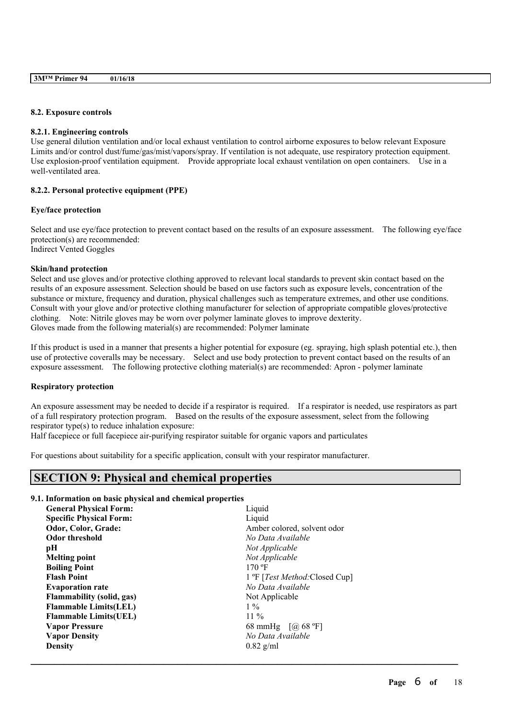| 3M <sup>™</sup> Primer 94 | 01/16/18 |
|---------------------------|----------|
|                           |          |

#### **8.2. Exposure controls**

#### **8.2.1. Engineering controls**

Use general dilution ventilation and/or local exhaust ventilation to control airborne exposures to below relevant Exposure Limits and/or control dust/fume/gas/mist/vapors/spray. If ventilation is not adequate, use respiratory protection equipment. Use explosion-proof ventilation equipment. Provide appropriate local exhaust ventilation on open containers. Use in a well-ventilated area.

#### **8.2.2. Personal protective equipment (PPE)**

#### **Eye/face protection**

Select and use eye/face protection to prevent contact based on the results of an exposure assessment. The following eye/face protection(s) are recommended: Indirect Vented Goggles

#### **Skin/hand protection**

Select and use gloves and/or protective clothing approved to relevant local standards to prevent skin contact based on the results of an exposure assessment. Selection should be based on use factors such as exposure levels, concentration of the substance or mixture, frequency and duration, physical challenges such as temperature extremes, and other use conditions. Consult with your glove and/or protective clothing manufacturer for selection of appropriate compatible gloves/protective clothing. Note: Nitrile gloves may be worn over polymer laminate gloves to improve dexterity. Gloves made from the following material(s) are recommended: Polymer laminate

If this product is used in a manner that presents a higher potential for exposure (eg. spraying, high splash potential etc.), then use of protective coveralls may be necessary. Select and use body protection to prevent contact based on the results of an exposure assessment. The following protective clothing material(s) are recommended: Apron - polymer laminate

#### **Respiratory protection**

An exposure assessment may be needed to decide if a respirator is required. If a respirator is needed, use respirators as part of a full respiratory protection program. Based on the results of the exposure assessment, select from the following respirator type(s) to reduce inhalation exposure:

 $\mathcal{L}_\mathcal{L} = \mathcal{L}_\mathcal{L} = \mathcal{L}_\mathcal{L} = \mathcal{L}_\mathcal{L} = \mathcal{L}_\mathcal{L} = \mathcal{L}_\mathcal{L} = \mathcal{L}_\mathcal{L} = \mathcal{L}_\mathcal{L} = \mathcal{L}_\mathcal{L} = \mathcal{L}_\mathcal{L} = \mathcal{L}_\mathcal{L} = \mathcal{L}_\mathcal{L} = \mathcal{L}_\mathcal{L} = \mathcal{L}_\mathcal{L} = \mathcal{L}_\mathcal{L} = \mathcal{L}_\mathcal{L} = \mathcal{L}_\mathcal{L}$ 

Half facepiece or full facepiece air-purifying respirator suitable for organic vapors and particulates

For questions about suitability for a specific application, consult with your respirator manufacturer.

## **SECTION 9: Physical and chemical properties**

#### **9.1. Information on basic physical and chemical properties**

| <b>General Physical Form:</b>  | Liquid                                 |  |
|--------------------------------|----------------------------------------|--|
| <b>Specific Physical Form:</b> | Liquid                                 |  |
| Odor, Color, Grade:            | Amber colored, solvent odor            |  |
| <b>Odor threshold</b>          | No Data Available                      |  |
| рH                             | Not Applicable                         |  |
| <b>Melting point</b>           | Not Applicable                         |  |
| <b>Boiling Point</b>           | 170 °F                                 |  |
| <b>Flash Point</b>             | 1 °F [ <i>Test Method</i> :Closed Cup] |  |
| <b>Evaporation rate</b>        | No Data Available                      |  |
| Flammability (solid, gas)      | Not Applicable                         |  |
| <b>Flammable Limits(LEL)</b>   | $1\%$                                  |  |
| <b>Flammable Limits (UEL)</b>  | $11\%$                                 |  |
| <b>Vapor Pressure</b>          | 68 mmHg $[@68 °F]$                     |  |
| <b>Vapor Density</b>           | No Data Available                      |  |
| <b>Density</b>                 | $0.82$ g/ml                            |  |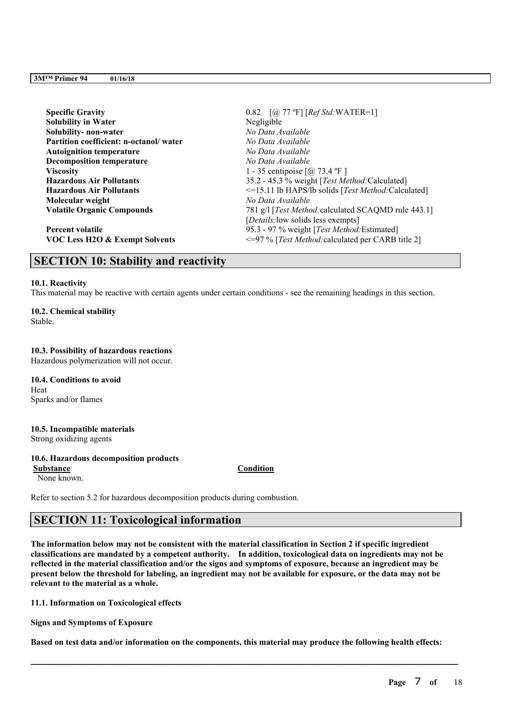| <b>Specific Gravity</b>                   | 0.82 $[@, 77 \text{ °F}]$ $[RefStd: WATER=1]$                     |
|-------------------------------------------|-------------------------------------------------------------------|
| <b>Solubility in Water</b>                | Negligible                                                        |
| Solubility-non-water                      | No Data Available                                                 |
| Partition coefficient: n-octanol/water    | No Data Available                                                 |
| <b>Autoignition temperature</b>           | No Data Available                                                 |
| <b>Decomposition temperature</b>          | No Data Available                                                 |
| <b>Viscosity</b>                          | 1 - 35 centipoise $\lceil$ ( <i>a</i> ) 73.4 °F ]                 |
| <b>Hazardous Air Pollutants</b>           | 35.2 - 45.3 % weight [Test Method:Calculated]                     |
| <b>Hazardous Air Pollutants</b>           | $\leq$ =15.11 lb HAPS/lb solids [ <i>Test Method</i> :Calculated] |
| Molecular weight                          | No Data Available                                                 |
| <b>Volatile Organic Compounds</b>         | 781 g/l [Test Method: calculated SCAQMD rule 443.1]               |
|                                           | [ <i>Details</i> : low solids less exempts]                       |
| <b>Percent volatile</b>                   | 95.3 - 97 % weight [Test Method: Estimated]                       |
| <b>VOC Less H2O &amp; Exempt Solvents</b> | <= 97 % [Test Method: calculated per CARB title 2]                |

## **SECTION 10: Stability and reactivity**

#### **10.1. Reactivity**

This material may be reactive with certain agents under certain conditions - see the remaining headings in this section.

**10.2. Chemical stability** Stable.

#### **10.3. Possibility of hazardous reactions**

Hazardous polymerization will not occur.

**10.4. Conditions to avoid** Heat Sparks and/or flames

## **10.5. Incompatible materials**

Strong oxidizing agents

## **10.6. Hazardous decomposition products**

None known.

**Substance Condition**

Refer to section 5.2 for hazardous decomposition products during combustion.

## **SECTION 11: Toxicological information**

The information below may not be consistent with the material classification in Section 2 if specific ingredient **classifications are mandated by a competent authority. In addition, toxicological data on ingredients may not be** reflected in the material classification and/or the signs and symptoms of exposure, because an ingredient may be present below the threshold for labeling, an ingredient may not be available for exposure, or the data may not be **relevant to the material as a whole.**

**11.1. Information on Toxicological effects**

**Signs and Symptoms of Exposure**

Based on test data and/or information on the components, this material may produce the following health effects: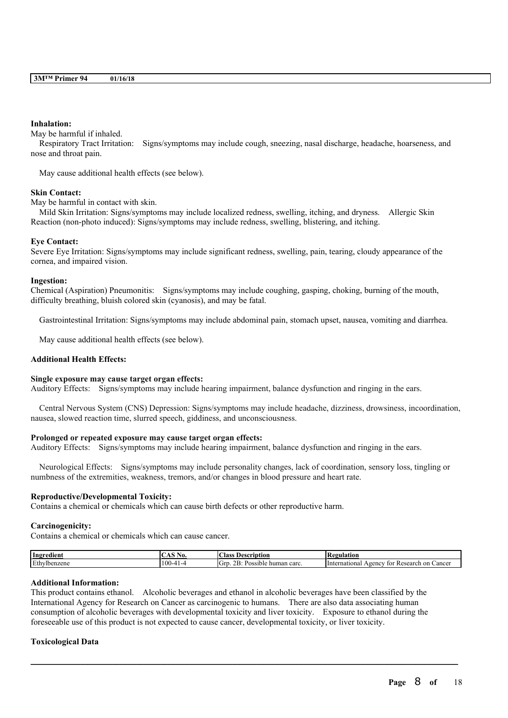#### **Inhalation:**

May be harmful if inhaled.

Respiratory Tract Irritation: Signs/symptoms may include cough, sneezing, nasal discharge, headache, hoarseness, and nose and throat pain.

May cause additional health effects (see below).

#### **Skin Contact:**

May be harmful in contact with skin.

Mild Skin Irritation: Signs/symptoms may include localized redness, swelling, itching, and dryness. Allergic Skin Reaction (non-photo induced): Signs/symptoms may include redness, swelling, blistering, and itching.

#### **Eye Contact:**

Severe Eye Irritation: Signs/symptoms may include significant redness, swelling, pain, tearing, cloudy appearance of the cornea, and impaired vision.

#### **Ingestion:**

Chemical (Aspiration) Pneumonitis: Signs/symptoms may include coughing, gasping, choking, burning of the mouth, difficulty breathing, bluish colored skin (cyanosis), and may be fatal.

Gastrointestinal Irritation: Signs/symptoms may include abdominal pain, stomach upset, nausea, vomiting and diarrhea.

May cause additional health effects (see below).

#### **Additional Health Effects:**

#### **Single exposure may cause target organ effects:**

Auditory Effects: Signs/symptoms may include hearing impairment, balance dysfunction and ringing in the ears.

Central Nervous System (CNS) Depression: Signs/symptoms may include headache, dizziness, drowsiness, incoordination, nausea, slowed reaction time, slurred speech, giddiness, and unconsciousness.

#### **Prolonged or repeated exposure may cause target organ effects:**

Auditory Effects: Signs/symptoms may include hearing impairment, balance dysfunction and ringing in the ears.

Neurological Effects: Signs/symptoms may include personality changes, lack of coordination, sensory loss, tingling or numbness of the extremities, weakness, tremors, and/or changes in blood pressure and heart rate.

#### **Reproductive/Developmental Toxicity:**

Contains a chemical or chemicals which can cause birth defects or other reproductive harm.

#### **Carcinogenicity:**

Contains a chemical or chemicals which can cause cancer.

| <b>Ingredient</b> | A0.<br>$\sim$ | $\sim$<br>Aass<br>scríntion<br>Desc                             | tegulation                                                |
|-------------------|---------------|-----------------------------------------------------------------|-----------------------------------------------------------|
| Ethylbenzene      | 100           | - -<br>$\mathsf{G}_{\mathsf{fL}}$<br>acarc<br>"ossible<br>human | International<br>Research<br>Ageno<br>Cancer<br>on<br>toi |

 $\mathcal{L}_\mathcal{L} = \mathcal{L}_\mathcal{L} = \mathcal{L}_\mathcal{L} = \mathcal{L}_\mathcal{L} = \mathcal{L}_\mathcal{L} = \mathcal{L}_\mathcal{L} = \mathcal{L}_\mathcal{L} = \mathcal{L}_\mathcal{L} = \mathcal{L}_\mathcal{L} = \mathcal{L}_\mathcal{L} = \mathcal{L}_\mathcal{L} = \mathcal{L}_\mathcal{L} = \mathcal{L}_\mathcal{L} = \mathcal{L}_\mathcal{L} = \mathcal{L}_\mathcal{L} = \mathcal{L}_\mathcal{L} = \mathcal{L}_\mathcal{L}$ 

#### **Additional Information:**

This product contains ethanol. Alcoholic beverages and ethanol in alcoholic beverages have been classified by the International Agency for Research on Cancer as carcinogenic to humans. There are also data associating human consumption of alcoholic beverages with developmental toxicity and liver toxicity. Exposure to ethanol during the foreseeable use of this product is not expected to cause cancer, developmental toxicity, or liver toxicity.

#### **Toxicological Data**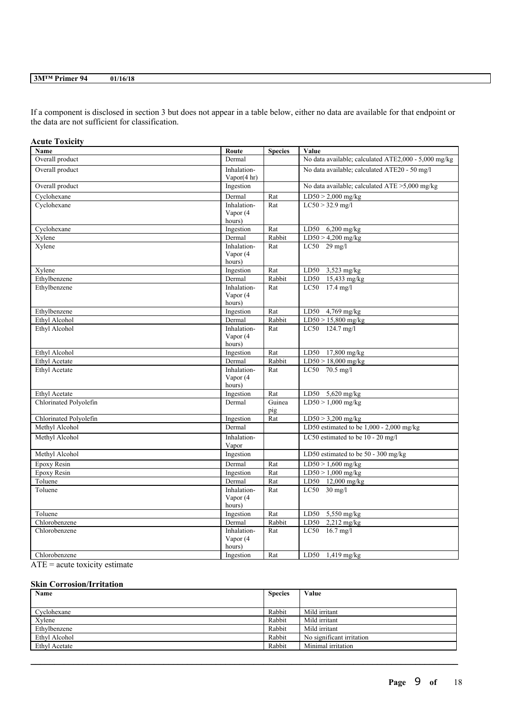If a component is disclosed in section 3 but does not appear in a table below, either no data are available for that endpoint or the data are not sufficient for classification.

#### **Acute Toxicity**

| Name                   | Route               | <b>Species</b> | Value                                                |
|------------------------|---------------------|----------------|------------------------------------------------------|
| Overall product        | Dermal              |                | No data available; calculated ATE2,000 - 5,000 mg/kg |
| Overall product        | Inhalation-         |                | No data available; calculated ATE20 - 50 mg/l        |
|                        | Vapor $(4 hr)$      |                |                                                      |
| Overall product        | Ingestion           |                | No data available; calculated ATE >5,000 mg/kg       |
| Cyclohexane            | Dermal              | Rat            | $LD50 > 2,000$ mg/kg                                 |
| Cyclohexane            | Inhalation-         | Rat            | $LC50 > 32.9$ mg/l                                   |
|                        | Vapor (4            |                |                                                      |
|                        | hours)              |                |                                                      |
| Cyclohexane            | Ingestion           | Rat            | $6,200$ mg/kg<br>LD50                                |
| Xylene                 | Dermal              | Rabbit         | $LD50 > 4,200$ mg/kg                                 |
| Xylene                 | Inhalation-         | Rat            | $LC50$ 29 mg/l                                       |
|                        | Vapor (4            |                |                                                      |
|                        | hours)              |                |                                                      |
| Xylene                 | Ingestion           | Rat            | LD50<br>$3,523$ mg/kg                                |
| Ethylbenzene           | Dermal              | Rabbit         | 15,433 mg/kg<br>LD50                                 |
| Ethylbenzene           | Inhalation-         | Rat            | LC50 17.4 mg/l                                       |
|                        | Vapor (4            |                |                                                      |
| Ethylbenzene           | hours)              | Rat            | LD50 4,769 mg/kg                                     |
| <b>Ethyl Alcohol</b>   | Ingestion<br>Dermal | Rabbit         | $LD50 > 15,800$ mg/kg                                |
| Ethyl Alcohol          | Inhalation-         | Rat            | LC50 124.7 mg/l                                      |
|                        | Vapor (4            |                |                                                      |
|                        | hours)              |                |                                                      |
| Ethyl Alcohol          | Ingestion           | Rat            | LD50 17,800 mg/kg                                    |
| Ethyl Acetate          | Dermal              | Rabbit         | $LD50 > 18,000$ mg/kg                                |
| Ethyl Acetate          | Inhalation-         | Rat            | LC50 70.5 mg/l                                       |
|                        | Vapor (4            |                |                                                      |
|                        | hours)              |                |                                                      |
| Ethyl Acetate          | Ingestion           | Rat            | LD50 5,620 mg/kg                                     |
| Chlorinated Polyolefin | Dermal              | Guinea         | $LD50 > 1,000$ mg/kg                                 |
|                        |                     | pig            |                                                      |
| Chlorinated Polyolefin | Ingestion           | Rat            | $LD50 > 3,200$ mg/kg                                 |
| Methyl Alcohol         | Dermal              |                | LD50 estimated to be $1,000 - 2,000$ mg/kg           |
| Methyl Alcohol         | Inhalation-         |                | LC50 estimated to be 10 - 20 mg/l                    |
|                        | Vapor               |                |                                                      |
| Methyl Alcohol         | Ingestion           |                | LD50 estimated to be 50 - 300 mg/kg                  |
| Epoxy Resin            | Dermal              | Rat            | $LD50 > 1,600$ mg/kg                                 |
| <b>Epoxy Resin</b>     | Ingestion           | Rat            | $LD50 > 1,000$ mg/kg                                 |
| Toluene                | Dermal              | Rat            | LD50 12,000 mg/kg                                    |
| Toluene                | Inhalation-         | Rat            | $LC50$ 30 mg/l                                       |
|                        | Vapor (4            |                |                                                      |
|                        | hours)              |                |                                                      |
| Toluene                | Ingestion           | Rat            | LD50<br>5,550 mg/kg                                  |
| Chlorobenzene          | Dermal              | Rabbit         | $2,212$ mg/kg<br>LD50                                |
| Chlorobenzene          | Inhalation-         | Rat            | LC50 16.7 mg/l                                       |
|                        | Vapor (4            |                |                                                      |
|                        | hours)              |                |                                                      |
| Chlorobenzene          | Ingestion           | Rat            | LD50 1,419 mg/kg                                     |

 $\overline{ATE}$  = acute toxicity estimate

#### **Skin Corrosion/Irritation**

| Name                 | <b>Species</b> | Value                     |
|----------------------|----------------|---------------------------|
|                      |                |                           |
| Cyclohexane          | Rabbit         | Mild irritant             |
| Xvlene               | Rabbit         | Mild irritant             |
| Ethylbenzene         | Rabbit         | Mild irritant             |
| Ethyl Alcohol        | Rabbit         | No significant irritation |
| <b>Ethyl Acetate</b> | Rabbit         | Minimal irritation        |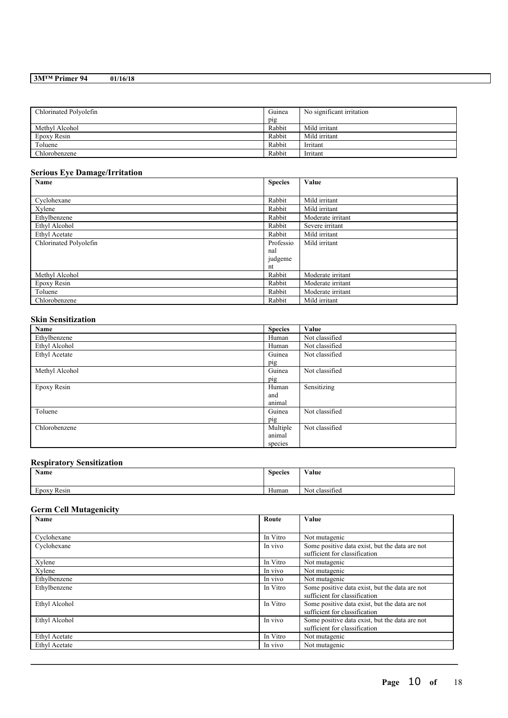| Chlorinated Polyolefin | Guinea | No significant irritation |
|------------------------|--------|---------------------------|
|                        | pig    |                           |
| Methyl Alcohol         | Rabbit | Mild irritant             |
| Epoxy Resin            | Rabbit | Mild irritant             |
| Toluene                | Rabbit | Irritant                  |
| Chlorobenzene          | Rabbit | Irritant                  |

### **Serious Eye Damage/Irritation**

| Name                   | <b>Species</b> | Value             |
|------------------------|----------------|-------------------|
|                        |                |                   |
| Cyclohexane            | Rabbit         | Mild irritant     |
| Xylene                 | Rabbit         | Mild irritant     |
| Ethylbenzene           | Rabbit         | Moderate irritant |
| Ethyl Alcohol          | Rabbit         | Severe irritant   |
| Ethyl Acetate          | Rabbit         | Mild irritant     |
| Chlorinated Polyolefin | Professio      | Mild irritant     |
|                        | nal            |                   |
|                        | judgeme        |                   |
|                        | nt             |                   |
| Methyl Alcohol         | Rabbit         | Moderate irritant |
| Epoxy Resin            | Rabbit         | Moderate irritant |
| Toluene                | Rabbit         | Moderate irritant |
| Chlorobenzene          | Rabbit         | Mild irritant     |

### **Skin Sensitization**

| Name           | <b>Species</b> | Value          |
|----------------|----------------|----------------|
| Ethylbenzene   | Human          | Not classified |
| Ethyl Alcohol  | Human          | Not classified |
| Ethyl Acetate  | Guinea         | Not classified |
|                | pig            |                |
| Methyl Alcohol | Guinea         | Not classified |
|                | pig            |                |
| Epoxy Resin    | Human          | Sensitizing    |
|                | and            |                |
|                | animal         |                |
| Toluene        | Guinea         | Not classified |
|                | pig            |                |
| Chlorobenzene  | Multiple       | Not classified |
|                | animal         |                |
|                | species        |                |

### **Respiratory Sensitization**

| Name                  | <b>Species</b> | Value                            |
|-----------------------|----------------|----------------------------------|
| $\sim$<br>Epoxy Resin | Human          | $\cdot$ $\sim$<br>Not classified |

### **Germ Cell Mutagenicity**

| <b>Name</b>          | Route    | Value                                                                           |
|----------------------|----------|---------------------------------------------------------------------------------|
|                      |          |                                                                                 |
| Cyclohexane          | In Vitro | Not mutagenic                                                                   |
| Cyclohexane          | In vivo  | Some positive data exist, but the data are not<br>sufficient for classification |
| Xylene               | In Vitro | Not mutagenic                                                                   |
| Xylene               | In vivo  | Not mutagenic                                                                   |
| Ethylbenzene         | In vivo  | Not mutagenic                                                                   |
| Ethylbenzene         | In Vitro | Some positive data exist, but the data are not<br>sufficient for classification |
| Ethyl Alcohol        | In Vitro | Some positive data exist, but the data are not<br>sufficient for classification |
| Ethyl Alcohol        | In vivo  | Some positive data exist, but the data are not<br>sufficient for classification |
| Ethyl Acetate        | In Vitro | Not mutagenic                                                                   |
| <b>Ethyl Acetate</b> | In vivo  | Not mutagenic                                                                   |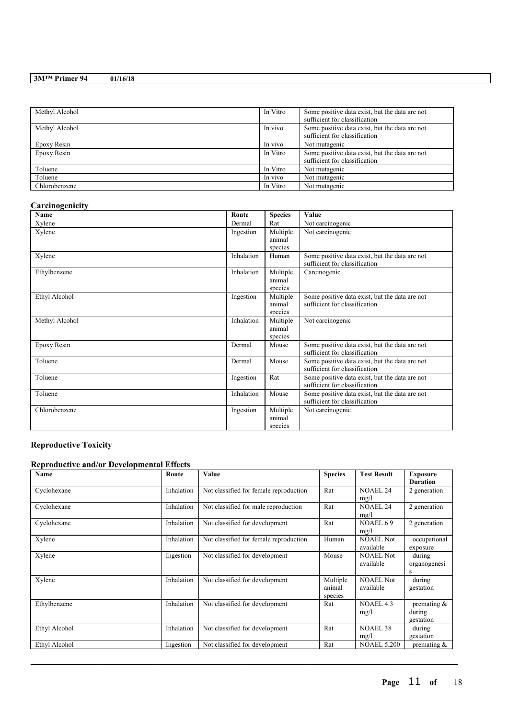| Methyl Alcohol | In Vitro | Some positive data exist, but the data are not<br>sufficient for classification |
|----------------|----------|---------------------------------------------------------------------------------|
| Methyl Alcohol | In vivo  | Some positive data exist, but the data are not<br>sufficient for classification |
| Epoxy Resin    | In vivo  | Not mutagenic                                                                   |
| Epoxy Resin    | In Vitro | Some positive data exist, but the data are not<br>sufficient for classification |
| Toluene        | In Vitro | Not mutagenic                                                                   |
| Toluene        | In vivo  | Not mutagenic                                                                   |
| Chlorobenzene  | In Vitro | Not mutagenic                                                                   |

### **Carcinogenicity**

| Name           | Route      | <b>Species</b>                | Value                                                                           |
|----------------|------------|-------------------------------|---------------------------------------------------------------------------------|
| Xylene         | Dermal     | Rat                           | Not carcinogenic                                                                |
| Xylene         | Ingestion  | Multiple<br>animal<br>species | Not carcinogenic                                                                |
| Xylene         | Inhalation | Human                         | Some positive data exist, but the data are not<br>sufficient for classification |
| Ethylbenzene   | Inhalation | Multiple<br>animal<br>species | Carcinogenic                                                                    |
| Ethyl Alcohol  | Ingestion  | Multiple<br>animal<br>species | Some positive data exist, but the data are not<br>sufficient for classification |
| Methyl Alcohol | Inhalation | Multiple<br>animal<br>species | Not carcinogenic                                                                |
| Epoxy Resin    | Dermal     | Mouse                         | Some positive data exist, but the data are not<br>sufficient for classification |
| Toluene        | Dermal     | Mouse                         | Some positive data exist, but the data are not<br>sufficient for classification |
| Toluene        | Ingestion  | Rat                           | Some positive data exist, but the data are not<br>sufficient for classification |
| Toluene        | Inhalation | Mouse                         | Some positive data exist, but the data are not<br>sufficient for classification |
| Chlorobenzene  | Ingestion  | Multiple<br>animal<br>species | Not carcinogenic                                                                |

## **Reproductive Toxicity**

### **Reproductive and/or Developmental Effects**

| Name          | Route      | Value                                  | <b>Species</b>                | <b>Test Result</b>            | <b>Exposure</b><br><b>Duration</b>    |
|---------------|------------|----------------------------------------|-------------------------------|-------------------------------|---------------------------------------|
| Cyclohexane   | Inhalation | Not classified for female reproduction | Rat                           | <b>NOAEL 24</b><br>mg/l       | 2 generation                          |
| Cyclohexane   | Inhalation | Not classified for male reproduction   | Rat                           | <b>NOAEL 24</b><br>mg/l       | 2 generation                          |
| Cyclohexane   | Inhalation | Not classified for development         | Rat                           | NOAEL 6.9<br>mg/l             | 2 generation                          |
| Xylene        | Inhalation | Not classified for female reproduction | Human                         | <b>NOAEL Not</b><br>available | occupational<br>exposure              |
| Xylene        | Ingestion  | Not classified for development         | Mouse                         | <b>NOAEL Not</b><br>available | during<br>organogenesi<br>S           |
| Xylene        | Inhalation | Not classified for development         | Multiple<br>animal<br>species | <b>NOAEL Not</b><br>available | during<br>gestation                   |
| Ethylbenzene  | Inhalation | Not classified for development         | Rat                           | NOAEL 4.3<br>mg/l             | premating $\&$<br>during<br>gestation |
| Ethyl Alcohol | Inhalation | Not classified for development         | Rat                           | <b>NOAEL 38</b><br>mg/l       | during<br>gestation                   |
| Ethyl Alcohol | Ingestion  | Not classified for development         | Rat                           | <b>NOAEL 5,200</b>            | premating $\&$                        |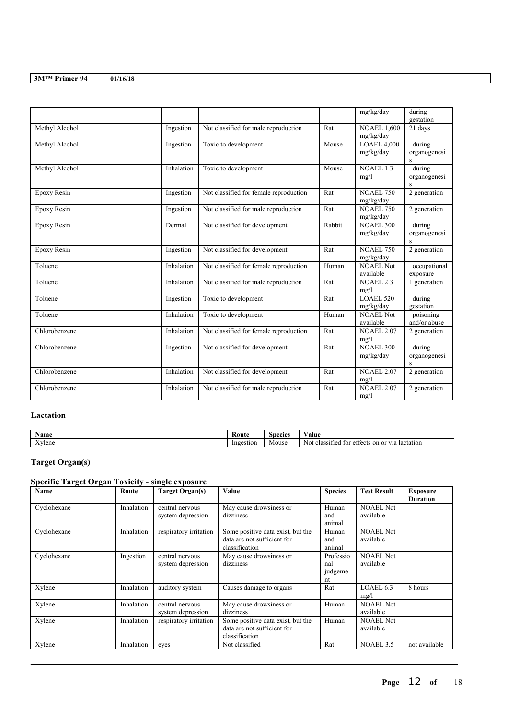|                |            |                                        |                      | mg/kg/day                       | during<br>gestation                    |
|----------------|------------|----------------------------------------|----------------------|---------------------------------|----------------------------------------|
| Methyl Alcohol | Ingestion  | Not classified for male reproduction   | Rat                  | <b>NOAEL 1.600</b><br>mg/kg/day | 21 days                                |
| Methyl Alcohol | Ingestion  | Toxic to development                   | Mouse                | $LOAEL$ 4,000<br>mg/kg/day      | during<br>organogenesi<br>$\mathbf{s}$ |
| Methyl Alcohol | Inhalation | Toxic to development                   | Mouse                | <b>NOAEL 1.3</b><br>mg/l        | during<br>organogenesi<br>S            |
| Epoxy Resin    | Ingestion  | Not classified for female reproduction | Rat                  | <b>NOAEL 750</b><br>mg/kg/day   | 2 generation                           |
| Epoxy Resin    | Ingestion  | Not classified for male reproduction   | Rat                  | <b>NOAEL 750</b><br>mg/kg/day   | 2 generation                           |
| Epoxy Resin    | Dermal     | Not classified for development         | Rabbit               | <b>NOAEL 300</b><br>mg/kg/day   | during<br>organogenesi<br>S            |
| Epoxy Resin    | Ingestion  | Not classified for development         | Rat                  | <b>NOAEL 750</b><br>mg/kg/day   | 2 generation                           |
| Toluene        | Inhalation | Not classified for female reproduction | Human                | NOAEL Not<br>available          | occupational<br>exposure               |
| Toluene        | Inhalation | Not classified for male reproduction   | Rat                  | <b>NOAEL 2.3</b><br>mg/l        | 1 generation                           |
| Toluene        | Ingestion  | Toxic to development                   | $\operatorname{Rat}$ | <b>LOAEL 520</b><br>mg/kg/day   | during<br>gestation                    |
| Toluene        | Inhalation | Toxic to development                   | Human                | NOAEL Not<br>available          | poisoning<br>and/or abuse              |
| Chlorobenzene  | Inhalation | Not classified for female reproduction | Rat                  | <b>NOAEL 2.07</b><br>mg/l       | 2 generation                           |
| Chlorobenzene  | Ingestion  | Not classified for development         | Rat                  | <b>NOAEL 300</b><br>mg/kg/day   | during<br>organogenesi<br>S            |
| Chlorobenzene  | Inhalation | Not classified for development         | Rat                  | <b>NOAEL 2.07</b><br>mg/l       | 2 generation                           |
| Chlorobenzene  | Inhalation | Not classified for male reproduction   | Rat                  | <b>NOAEL 2.07</b><br>mg/l       | 2 generation                           |

### **Lactation**

| $\mathbf{v}$<br>vame    | Route     | Species | 'alue                                                                          |
|-------------------------|-----------|---------|--------------------------------------------------------------------------------|
| $\rightarrow$<br>Aylene | Ingestion | Mouse   | $\sim$<br>lactation<br>effects<br>classified for<br>'s on<br>. or via '<br>Not |

## **Target Organ(s)**

## **Specific Target Organ Toxicity - single exposure**

| <b>Name</b> | Route      | <b>Target Organ(s)</b> | Value                             | <b>Species</b> | <b>Test Result</b> | <b>Exposure</b> |
|-------------|------------|------------------------|-----------------------------------|----------------|--------------------|-----------------|
|             |            |                        |                                   |                |                    | <b>Duration</b> |
| Cyclohexane | Inhalation | central nervous        | May cause drowsiness or           | Human          | <b>NOAEL Not</b>   |                 |
|             |            | system depression      | dizziness                         | and            | available          |                 |
|             |            |                        |                                   | animal         |                    |                 |
| Cyclohexane | Inhalation | respiratory irritation | Some positive data exist, but the | Human          | <b>NOAEL Not</b>   |                 |
|             |            |                        | data are not sufficient for       | and            | available          |                 |
|             |            |                        | classification                    | animal         |                    |                 |
| Cyclohexane | Ingestion  | central nervous        | May cause drowsiness or           | Professio      | <b>NOAEL Not</b>   |                 |
|             |            | system depression      | dizziness                         | nal            | available          |                 |
|             |            |                        |                                   | judgeme        |                    |                 |
|             |            |                        |                                   | nt             |                    |                 |
| Xylene      | Inhalation | auditory system        | Causes damage to organs           | Rat            | LOAEL 6.3          | 8 hours         |
|             |            |                        |                                   |                | mg/l               |                 |
| Xylene      | Inhalation | central nervous        | May cause drowsiness or           | Human          | <b>NOAEL Not</b>   |                 |
|             |            | system depression      | dizziness                         |                | available          |                 |
| Xylene      | Inhalation | respiratory irritation | Some positive data exist, but the | Human          | <b>NOAEL Not</b>   |                 |
|             |            |                        | data are not sufficient for       |                | available          |                 |
|             |            |                        | classification                    |                |                    |                 |
| Xylene      | Inhalation | eves                   | Not classified                    | Rat            | <b>NOAEL 3.5</b>   | not available   |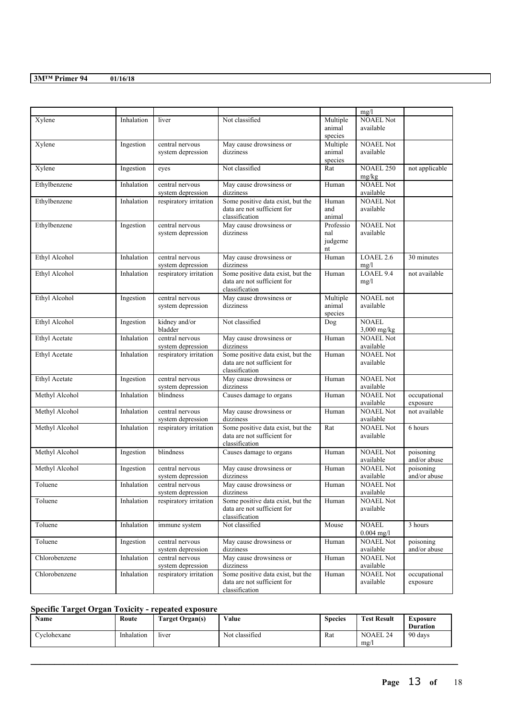|                |            |                                      |                                                                  |                    | mg/l                          |                           |
|----------------|------------|--------------------------------------|------------------------------------------------------------------|--------------------|-------------------------------|---------------------------|
| Xylene         | Inhalation | liver                                | Not classified                                                   | Multiple<br>animal | <b>NOAEL Not</b><br>available |                           |
|                |            |                                      |                                                                  | species            |                               |                           |
| Xylene         | Ingestion  | central nervous                      | May cause drowsiness or                                          | Multiple           | <b>NOAEL Not</b>              |                           |
|                |            | system depression                    | dizziness                                                        | animal             | available                     |                           |
| Xylene         | Ingestion  | eyes                                 | Not classified                                                   | species<br>Rat     | <b>NOAEL 250</b>              | not applicable            |
|                |            |                                      |                                                                  |                    | mg/kg                         |                           |
| Ethylbenzene   | Inhalation | central nervous                      | May cause drowsiness or                                          | Human              | <b>NOAEL Not</b>              |                           |
|                |            | system depression                    | dizziness                                                        |                    | available                     |                           |
| Ethylbenzene   | Inhalation | respiratory irritation               | Some positive data exist, but the                                | Human              | <b>NOAEL Not</b>              |                           |
|                |            |                                      | data are not sufficient for<br>classification                    | and<br>animal      | available                     |                           |
| Ethylbenzene   | Ingestion  | central nervous                      | May cause drowsiness or                                          | Professio          | <b>NOAEL Not</b>              |                           |
|                |            | system depression                    | dizziness                                                        | nal                | available                     |                           |
|                |            |                                      |                                                                  | judgeme            |                               |                           |
|                |            |                                      |                                                                  | nt                 |                               |                           |
| Ethyl Alcohol  | Inhalation | central nervous<br>system depression | May cause drowsiness or<br>dizziness                             | Human              | LOAEL 2.6<br>mg/l             | 30 minutes                |
| Ethyl Alcohol  | Inhalation | respiratory irritation               | Some positive data exist, but the                                | Human              | LOAEL 9.4                     | not available             |
|                |            |                                      | data are not sufficient for                                      |                    | mg/l                          |                           |
|                |            |                                      | classification                                                   |                    |                               |                           |
| Ethyl Alcohol  | Ingestion  | central nervous                      | May cause drowsiness or                                          | Multiple           | NOAEL not                     |                           |
|                |            | system depression                    | dizziness                                                        | animal<br>species  | available                     |                           |
| Ethyl Alcohol  | Ingestion  | kidney and/or                        | Not classified                                                   | Dog                | <b>NOAEL</b>                  |                           |
|                |            | bladder                              |                                                                  |                    | $3,000$ mg/kg                 |                           |
| Ethyl Acetate  | Inhalation | central nervous                      | May cause drowsiness or                                          | Human              | <b>NOAEL Not</b>              |                           |
|                |            | system depression                    | dizziness                                                        |                    | available                     |                           |
| Ethyl Acetate  | Inhalation | respiratory irritation               | Some positive data exist, but the<br>data are not sufficient for | Human              | <b>NOAEL Not</b><br>available |                           |
|                |            |                                      | classification                                                   |                    |                               |                           |
| Ethyl Acetate  | Ingestion  | central nervous                      | May cause drowsiness or                                          | Human              | <b>NOAEL Not</b>              |                           |
|                |            | system depression                    | dizziness                                                        |                    | available                     |                           |
| Methyl Alcohol | Inhalation | blindness                            | Causes damage to organs                                          | Human              | <b>NOAEL Not</b>              | occupational              |
|                | Inhalation | central nervous                      |                                                                  | Human              | available<br><b>NOAEL Not</b> | exposure<br>not available |
| Methyl Alcohol |            | system depression                    | May cause drowsiness or<br>dizziness                             |                    | available                     |                           |
| Methyl Alcohol | Inhalation | respiratory irritation               | Some positive data exist, but the                                | Rat                | <b>NOAEL Not</b>              | 6 hours                   |
|                |            |                                      | data are not sufficient for                                      |                    | available                     |                           |
|                |            |                                      | classification                                                   |                    |                               |                           |
| Methyl Alcohol | Ingestion  | blindness                            | Causes damage to organs                                          | Human              | <b>NOAEL Not</b><br>available | poisoning                 |
| Methyl Alcohol | Ingestion  | central nervous                      | May cause drowsiness or                                          | Human              | <b>NOAEL Not</b>              | and/or abuse<br>poisoning |
|                |            | system depression                    | dizziness                                                        |                    | available                     | and/or abuse              |
| Toluene        | Inhalation | central nervous                      | May cause drowsiness or                                          | Human              | <b>NOAEL Not</b>              |                           |
|                |            | system depression                    | dizziness                                                        |                    | available                     |                           |
| Toluene        | Inhalation | respiratory irritation               | Some positive data exist, but the<br>data are not sufficient for | Human              | <b>NOAEL Not</b><br>available |                           |
|                |            |                                      | classification                                                   |                    |                               |                           |
| Toluene        | Inhalation | immune system                        | Not classified                                                   | Mouse              | <b>NOAEL</b>                  | 3 hours                   |
|                |            |                                      |                                                                  |                    | $0.004$ mg/l                  |                           |
| Toluene        | Ingestion  | central nervous                      | May cause drowsiness or                                          | Human              | <b>NOAEL Not</b>              | poisoning                 |
|                |            | system depression<br>central nervous | dizziness                                                        |                    | available<br><b>NOAEL Not</b> | and/or abuse              |
| Chlorobenzene  | Inhalation | system depression                    | May cause drowsiness or<br>dizziness                             | Human              | available                     |                           |
| Chlorobenzene  | Inhalation | respiratory irritation               | Some positive data exist, but the                                | Human              | <b>NOAEL Not</b>              | occupational              |
|                |            |                                      | data are not sufficient for                                      |                    | available                     | exposure                  |
|                |            |                                      | classification                                                   |                    |                               |                           |

### **Specific Target Organ Toxicity - repeated exposure**

| Name        | Route      | <b>Target Organ(s)</b> | Value          | <b>Species</b> | <b>Test Result</b>     | Exposure<br><b>Duration</b> |
|-------------|------------|------------------------|----------------|----------------|------------------------|-----------------------------|
| Cyclohexane | Inhalation | liver                  | Not classified | Rat            | <b>NOAEL 24</b><br>mg/ | 90 days                     |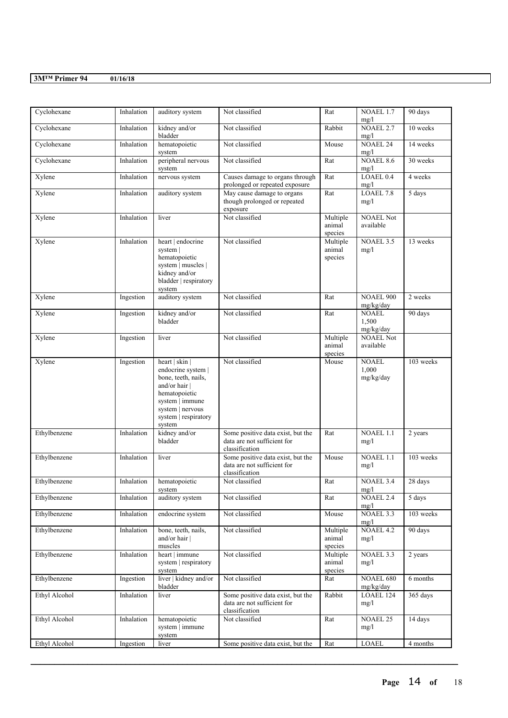| Cyclohexane   | Inhalation | auditory system                                                                                                                                                        | Not classified                                                                     | Rat                           | NOAEL 1.7<br>mg/l                  | 90 days    |
|---------------|------------|------------------------------------------------------------------------------------------------------------------------------------------------------------------------|------------------------------------------------------------------------------------|-------------------------------|------------------------------------|------------|
| Cyclohexane   | Inhalation | kidney and/or<br>bladder                                                                                                                                               | Not classified                                                                     | Rabbit                        | <b>NOAEL 2.7</b><br>mg/l           | 10 weeks   |
| Cyclohexane   | Inhalation | hematopoietic<br>system                                                                                                                                                | Not classified                                                                     | Mouse                         | <b>NOAEL 24</b><br>mg/l            | 14 weeks   |
| Cyclohexane   | Inhalation | peripheral nervous<br>system                                                                                                                                           | Not classified                                                                     | Rat                           | <b>NOAEL 8.6</b><br>mg/l           | 30 weeks   |
| Xylene        | Inhalation | nervous system                                                                                                                                                         | Causes damage to organs through<br>prolonged or repeated exposure                  | Rat                           | LOAEL 0.4<br>mg/l                  | 4 weeks    |
| Xylene        | Inhalation | auditory system                                                                                                                                                        | May cause damage to organs<br>though prolonged or repeated<br>exposure             | Rat                           | LOAEL 7.8<br>mg/l                  | 5 days     |
| Xylene        | Inhalation | liver                                                                                                                                                                  | Not classified                                                                     | Multiple<br>animal<br>species | <b>NOAEL Not</b><br>available      |            |
| Xylene        | Inhalation | heart   endocrine<br>system  <br>hematopoietic<br>system   muscles  <br>kidney and/or<br>bladder   respiratory<br>system                                               | Not classified                                                                     | Multiple<br>animal<br>species | <b>NOAEL 3.5</b><br>mg/l           | 13 weeks   |
| Xylene        | Ingestion  | auditory system                                                                                                                                                        | Not classified                                                                     | Rat                           | <b>NOAEL 900</b><br>mg/kg/day      | 2 weeks    |
| Xylene        | Ingestion  | kidney and/or<br>bladder                                                                                                                                               | Not classified                                                                     | Rat                           | <b>NOAEL</b><br>1,500<br>mg/kg/day | 90 days    |
| Xylene        | Ingestion  | liver                                                                                                                                                                  | Not classified                                                                     | Multiple<br>animal<br>species | <b>NOAEL Not</b><br>available      |            |
| Xylene        | Ingestion  | heart   skin  <br>endocrine system  <br>bone, teeth, nails,<br>and/or hair  <br>hematopoietic<br>system   immune<br>system   nervous<br>system   respiratory<br>system | Not classified                                                                     | Mouse                         | <b>NOAEL</b><br>1,000<br>mg/kg/day | 103 weeks  |
| Ethylbenzene  | Inhalation | kidney and/or<br>bladder                                                                                                                                               | Some positive data exist, but the<br>data are not sufficient for<br>classification | Rat                           | NOAEL 1.1<br>mg/l                  | 2 years    |
| Ethylbenzene  | Inhalation | liver                                                                                                                                                                  | Some positive data exist, but the<br>data are not sufficient for<br>classification | Mouse                         | <b>NOAEL 1.1</b><br>mg/l           | 103 weeks  |
| Ethylbenzene  | Inhalation | hematopoietic<br>system                                                                                                                                                | Not classified                                                                     | Rat                           | <b>NOAEL 3.4</b><br>mg/l           | 28 days    |
| Ethylbenzene  | Inhalation | auditory system                                                                                                                                                        | Not classified                                                                     | Rat                           | <b>NOAEL 2.4</b><br>mg/l           | 5 days     |
| Ethylbenzene  | Inhalation | endocrine system                                                                                                                                                       | Not classified                                                                     | Mouse                         | <b>NOAEL 3.3</b><br>mg/l           | 103 weeks  |
| Ethylbenzene  | Inhalation | bone, teeth, nails,<br>and/or hair  <br>muscles                                                                                                                        | Not classified                                                                     | Multiple<br>animal<br>species | <b>NOAEL 4.2</b><br>mg/l           | 90 days    |
| Ethylbenzene  | Inhalation | heart   immune<br>system   respiratory<br>system                                                                                                                       | Not classified                                                                     | Multiple<br>animal<br>species | NOAEL 3.3<br>mg/l                  | 2 years    |
| Ethylbenzene  | Ingestion  | liver   kidney and/or<br>bladder                                                                                                                                       | Not classified                                                                     | Rat                           | NOAEL 680<br>mg/kg/day             | $6$ months |
| Ethyl Alcohol | Inhalation | liver                                                                                                                                                                  | Some positive data exist, but the<br>data are not sufficient for<br>classification | Rabbit                        | LOAEL 124<br>mg/l                  | 365 days   |
| Ethyl Alcohol | Inhalation | hematopoietic<br>system   immune<br>system                                                                                                                             | Not classified                                                                     | Rat                           | <b>NOAEL 25</b><br>mg/l            | 14 days    |
| Ethyl Alcohol | Ingestion  | liver                                                                                                                                                                  | Some positive data exist, but the                                                  | Rat                           | LOAEL                              | 4 months   |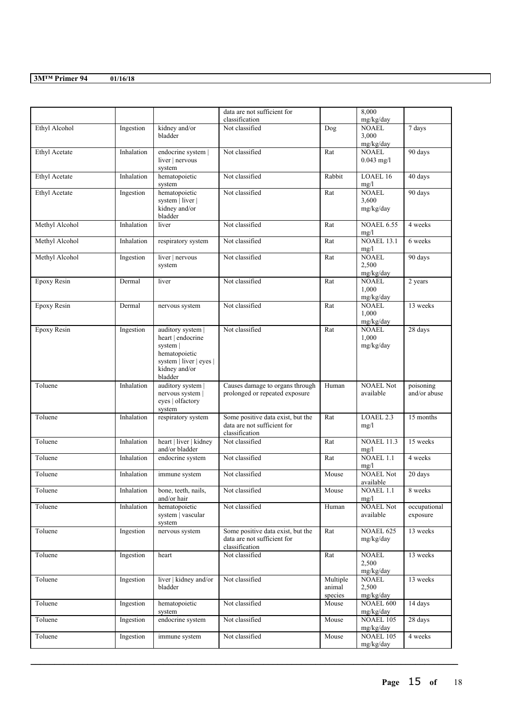|                      |            |                                                                                                                          | data are not sufficient for<br>classification                                      |                               | 8,000<br>mg/kg/day                  |                           |
|----------------------|------------|--------------------------------------------------------------------------------------------------------------------------|------------------------------------------------------------------------------------|-------------------------------|-------------------------------------|---------------------------|
| Ethyl Alcohol        | Ingestion  | kidney and/or<br>bladder                                                                                                 | Not classified                                                                     | Dog                           | <b>NOAEL</b><br>3,000               | 7 days                    |
| <b>Ethyl Acetate</b> | Inhalation | endocrine system  <br>liver   nervous<br>system                                                                          | Not classified                                                                     | Rat                           | mg/kg/day<br>NOAEL.<br>$0.043$ mg/l | 90 days                   |
| Ethyl Acetate        | Inhalation | hematopoietic<br>system                                                                                                  | Not classified                                                                     | Rabbit                        | LOAEL 16<br>mg/l                    | 40 days                   |
| <b>Ethyl Acetate</b> | Ingestion  | hematopoietic<br>system   liver  <br>kidney and/or<br>bladder                                                            | Not classified                                                                     | Rat                           | <b>NOAEL</b><br>3,600<br>mg/kg/day  | 90 days                   |
| Methyl Alcohol       | Inhalation | liver                                                                                                                    | Not classified                                                                     | Rat                           | <b>NOAEL 6.55</b><br>mg/l           | 4 weeks                   |
| Methyl Alcohol       | Inhalation | respiratory system                                                                                                       | Not classified                                                                     | Rat                           | <b>NOAEL 13.1</b><br>mg/l           | 6 weeks                   |
| Methyl Alcohol       | Ingestion  | liver   nervous<br>system                                                                                                | Not classified                                                                     | Rat                           | <b>NOAEL</b><br>2,500<br>mg/kg/day  | 90 days                   |
| <b>Epoxy Resin</b>   | Dermal     | liver                                                                                                                    | Not classified                                                                     | Rat                           | <b>NOAEL</b><br>1,000<br>mg/kg/day  | 2 years                   |
| Epoxy Resin          | Dermal     | nervous system                                                                                                           | Not classified                                                                     | Rat                           | <b>NOAEL</b><br>1,000<br>mg/kg/day  | 13 weeks                  |
| Epoxy Resin          | Ingestion  | auditory system  <br>heart   endocrine<br>system  <br>hematopoietic<br>system liver   eyes  <br>kidney and/or<br>bladder | Not classified                                                                     | Rat                           | <b>NOAEL</b><br>1,000<br>mg/kg/day  | 28 days                   |
| Toluene              | Inhalation | auditory system  <br>nervous system  <br>eyes   olfactory<br>system                                                      | Causes damage to organs through<br>prolonged or repeated exposure                  | Human                         | <b>NOAEL Not</b><br>available       | poisoning<br>and/or abuse |
| Toluene              | Inhalation | respiratory system                                                                                                       | Some positive data exist, but the<br>data are not sufficient for<br>classification | Rat                           | LOAEL 2.3<br>mg/l                   | 15 months                 |
| Toluene              | Inhalation | heart   liver   kidney<br>and/or bladder                                                                                 | Not classified                                                                     | Rat                           | <b>NOAEL 11.3</b><br>mg/l           | 15 weeks                  |
| Toluene              | Inhalation | endocrine system                                                                                                         | Not classified                                                                     | Rat                           | NOAEL 1.1<br>mg/l                   | 4 weeks                   |
| Toluene              | Inhalation | immune system                                                                                                            | Not classified                                                                     | Mouse                         | <b>NOAEL Not</b><br>available       | 20 days                   |
| Toluene              | Inhalation | bone, teeth, nails,<br>and/or hair                                                                                       | Not classified                                                                     | Mouse                         | NOAEL 1.1<br>mg/l                   | 8 weeks                   |
| Toluene              | Inhalation | hematopoietic<br>system   vascular<br>system                                                                             | Not classified                                                                     | Human                         | <b>NOAEL Not</b><br>available       | occupational<br>exposure  |
| Toluene              | Ingestion  | nervous system                                                                                                           | Some positive data exist, but the<br>data are not sufficient for<br>classification | Rat                           | NOAEL 625<br>mg/kg/day              | 13 weeks                  |
| Toluene              | Ingestion  | heart                                                                                                                    | Not classified                                                                     | Rat                           | <b>NOAEL</b><br>2,500<br>mg/kg/day  | 13 weeks                  |
| Toluene              | Ingestion  | liver   kidney and/or<br>bladder                                                                                         | Not classified                                                                     | Multiple<br>animal<br>species | <b>NOAEL</b><br>2,500<br>mg/kg/day  | 13 weeks                  |
| Toluene              | Ingestion  | hematopoietic<br>system                                                                                                  | Not classified                                                                     | Mouse                         | NOAEL 600<br>mg/kg/day              | 14 days                   |
| Toluene              | Ingestion  | endocrine system                                                                                                         | Not classified                                                                     | Mouse                         | NOAEL 105<br>mg/kg/day              | 28 days                   |
| Toluene              | Ingestion  | immune system                                                                                                            | Not classified                                                                     | Mouse                         | NOAEL 105<br>mg/kg/day              | 4 weeks                   |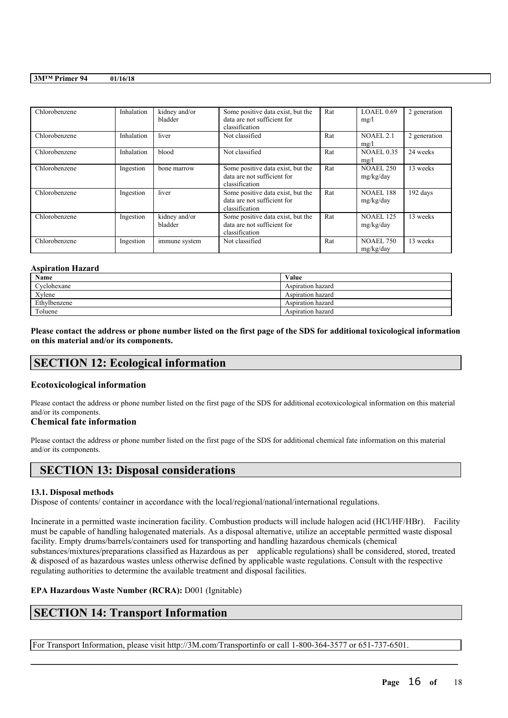| Chlorobenzene | Inhalation | kidney and/or<br>bladder | Some positive data exist, but the<br>data are not sufficient for<br>classification | Rat | LOAEL 0.69<br>mg/l            | 2 generation |
|---------------|------------|--------------------------|------------------------------------------------------------------------------------|-----|-------------------------------|--------------|
| Chlorobenzene | Inhalation | liver                    | Not classified                                                                     | Rat | NOAEL 2.1<br>mg/l             | 2 generation |
| Chlorobenzene | Inhalation | blood                    | Not classified                                                                     | Rat | <b>NOAEL 0.35</b><br>mg/l     | 24 weeks     |
| Chlorobenzene | Ingestion  | bone marrow              | Some positive data exist, but the<br>data are not sufficient for<br>classification | Rat | <b>NOAEL 250</b><br>mg/kg/day | 13 weeks     |
| Chlorobenzene | Ingestion  | liver                    | Some positive data exist, but the<br>data are not sufficient for<br>classification | Rat | <b>NOAEL 188</b><br>mg/kg/day | 192 days     |
| Chlorobenzene | Ingestion  | kidney and/or<br>bladder | Some positive data exist, but the<br>data are not sufficient for<br>classification | Rat | <b>NOAEL 125</b><br>mg/kg/day | 13 weeks     |
| Chlorobenzene | Ingestion  | immune system            | Not classified                                                                     | Rat | <b>NOAEL 750</b><br>mg/kg/day | 13 weeks     |

#### **Aspiration Hazard**

| Name         | Value             |
|--------------|-------------------|
| Cyclohexane  | Aspiration hazard |
| Xylene       | Aspiration hazard |
| Ethylbenzene | Aspiration hazard |
| Toluene      | Aspiration hazard |

Please contact the address or phone number listed on the first page of the SDS for additional toxicological information **on this material and/or its components.**

## **SECTION 12: Ecological information**

#### **Ecotoxicological information**

Please contact the address or phone number listed on the first page of the SDS for additional ecotoxicological information on this material and/or its components.

#### **Chemical fate information**

Please contact the address or phone number listed on the first page of the SDS for additional chemical fate information on this material and/or its components.

## **SECTION 13: Disposal considerations**

#### **13.1. Disposal methods**

Dispose of contents/ container in accordance with the local/regional/national/international regulations.

Incinerate in a permitted waste incineration facility. Combustion products will include halogen acid (HCl/HF/HBr). Facility must be capable of handling halogenated materials. As a disposal alternative, utilize an acceptable permitted waste disposal facility. Empty drums/barrels/containers used for transporting and handling hazardous chemicals (chemical substances/mixtures/preparations classified as Hazardous as per applicable regulations) shall be considered, stored, treated & disposed of as hazardous wastes unless otherwise defined by applicable waste regulations. Consult with the respective regulating authorities to determine the available treatment and disposal facilities.

 $\mathcal{L}_\mathcal{L} = \mathcal{L}_\mathcal{L} = \mathcal{L}_\mathcal{L} = \mathcal{L}_\mathcal{L} = \mathcal{L}_\mathcal{L} = \mathcal{L}_\mathcal{L} = \mathcal{L}_\mathcal{L} = \mathcal{L}_\mathcal{L} = \mathcal{L}_\mathcal{L} = \mathcal{L}_\mathcal{L} = \mathcal{L}_\mathcal{L} = \mathcal{L}_\mathcal{L} = \mathcal{L}_\mathcal{L} = \mathcal{L}_\mathcal{L} = \mathcal{L}_\mathcal{L} = \mathcal{L}_\mathcal{L} = \mathcal{L}_\mathcal{L}$ 

#### **EPA Hazardous Waste Number (RCRA):** D001 (Ignitable)

## **SECTION 14: Transport Information**

For Transport Information, please visit http://3M.com/Transportinfo or call 1-800-364-3577 or 651-737-6501.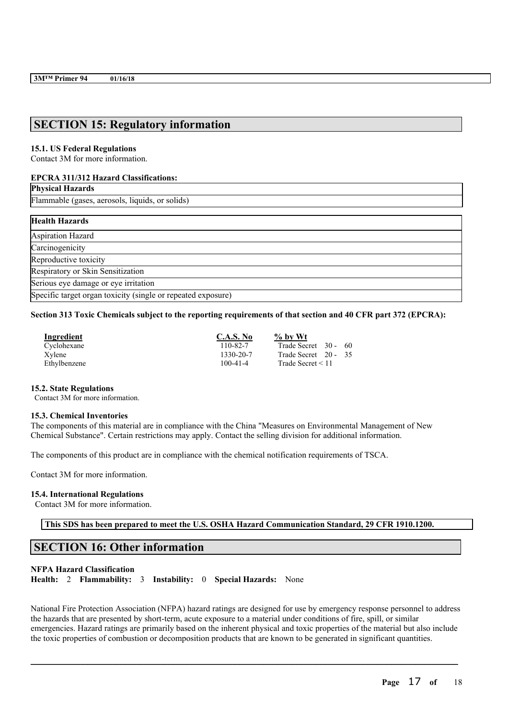## **SECTION 15: Regulatory information**

#### **15.1. US Federal Regulations**

Contact 3M for more information.

#### **EPCRA 311/312 Hazard Classifications:**

**Physical Hazards**

Flammable (gases, aerosols, liquids, or solids)

#### **Health Hazards**

Aspiration Hazard **Carcinogenicity** Reproductive toxicity Respiratory or Skin Sensitization Serious eye damage or eye irritation Specific target organ toxicity (single or repeated exposure)

#### Section 313 Toxic Chemicals subject to the reporting requirements of that section and 40 CFR part 372 (EPCRA):

| <b>Ingredient</b> | C.A.S. No      | $\%$ by Wt             |  |
|-------------------|----------------|------------------------|--|
| Cyclohexane       | 110-82-7       | Trade Secret 30 - 60   |  |
| Xylene            | 1330-20-7      | Trade Secret 20 - 35   |  |
| Ethylbenzene      | $100 - 41 - 4$ | Trade Secret $\leq 11$ |  |

#### **15.2. State Regulations**

Contact 3M for more information.

#### **15.3. Chemical Inventories**

The components of this material are in compliance with the China "Measures on Environmental Management of New Chemical Substance". Certain restrictions may apply. Contact the selling division for additional information.

The components of this product are in compliance with the chemical notification requirements of TSCA.

Contact 3M for more information.

#### **15.4. International Regulations**

Contact 3M for more information.

**This SDS has been prepared to meet the U.S. OSHA Hazard Communication Standard, 29 CFR 1910.1200.**

## **SECTION 16: Other information**

#### **NFPA Hazard Classification**

**Health:** 2 **Flammability:** 3 **Instability:** 0 **Special Hazards:** None

National Fire Protection Association (NFPA) hazard ratings are designed for use by emergency response personnel to address the hazards that are presented by short-term, acute exposure to a material under conditions of fire, spill, or similar emergencies. Hazard ratings are primarily based on the inherent physical and toxic properties of the material but also include the toxic properties of combustion or decomposition products that are known to be generated in significant quantities.